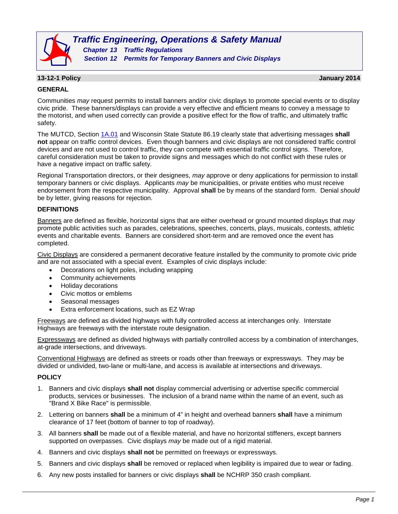

*Traffic Engineering, Operations & Safety Manual Chapter 13 Traffic Regulations*

*Section 12 Permits for Temporary Banners and Civic Displays*

# **13-12-1 Policy January 2014**

#### **GENERAL**

Communities *may* request permits to install banners and/or civic displays to promote special events or to display civic pride. These banners/displays can provide a very effective and efficient means to convey a message to the motorist, and when used correctly can provide a positive effect for the flow of traffic, and ultimately traffic safety.

The MUTCD, Section [1A.01](http://wisconsindot.gov/dtsdManuals/traffic-ops/manuals-and-standards/mutcd-ch01.pdf) and Wisconsin State Statute 86.19 clearly state that advertising messages **shall not** appear on traffic control devices. Even though banners and civic displays are not considered traffic control devices and are not used to control traffic, they can compete with essential traffic control signs. Therefore, careful consideration must be taken to provide signs and messages which do not conflict with these rules or have a negative impact on traffic safety.

Regional Transportation directors, or their designees, *may* approve or deny applications for permission to install temporary banners or civic displays. Applicants *may* be municipalities, or private entities who must receive endorsement from the respective municipality. Approval **shall** be by means of the standard form. Denial *should* be by letter, giving reasons for rejection.

## **DEFINITIONS**

Banners are defined as flexible, horizontal signs that are either overhead or ground mounted displays that *may* promote public activities such as parades, celebrations, speeches, concerts, plays, musicals, contests, athletic events and charitable events. Banners are considered short-term and are removed once the event has completed.

Civic Displays are considered a permanent decorative feature installed by the community to promote civic pride and are not associated with a special event. Examples of civic displays include:

- Decorations on light poles, including wrapping
- Community achievements
- Holiday decorations
- Civic mottos or emblems
- Seasonal messages
- Extra enforcement locations, such as EZ Wrap

Freeways are defined as divided highways with fully controlled access at interchanges only. Interstate Highways are freeways with the interstate route designation.

Expressways are defined as divided highways with partially controlled access by a combination of interchanges, at-grade intersections, and driveways.

Conventional Highways are defined as streets or roads other than freeways or expressways. They *may* be divided or undivided, two-lane or multi-lane, and access is available at intersections and driveways.

## **POLICY**

- 1. Banners and civic displays **shall not** display commercial advertising or advertise specific commercial products, services or businesses. The inclusion of a brand name within the name of an event, such as "Brand X Bike Race" is permissible.
- 2. Lettering on banners **shall** be a minimum of 4" in height and overhead banners **shall** have a minimum clearance of 17 feet (bottom of banner to top of roadway).
- 3. All banners **shall** be made out of a flexible material, and have no horizontal stiffeners, except banners supported on overpasses. Civic displays *may* be made out of a rigid material.
- 4. Banners and civic displays **shall not** be permitted on freeways or expressways.
- 5. Banners and civic displays **shall** be removed or replaced when legibility is impaired due to wear or fading.
- 6. Any new posts installed for banners or civic displays **shall** be NCHRP 350 crash compliant.